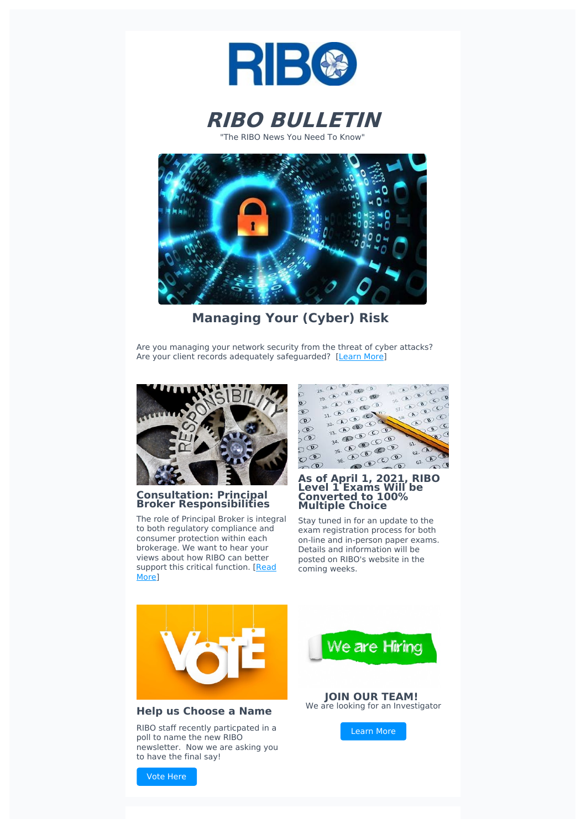



"The RIBO News You Need To Know"



**Managing Your (Cyber) Risk**

Are you managing your network security from the threat of cyber attacks? Are your client records adequately safeguarded? [\[Learn](https://www.ribo.com/cyber-liability-coverage-best-practice/) More]



## **Consultation: Principal Broker Responsibilities**

The role of Principal Broker is integral to both regulatory compliance and consumer protection within each brokerage. We want to hear your views about how RIBO can better support this critical [function.](https://www.ribo.com/ribo-principal-broker-responsibilities-review-consultation/) [Read] More]



#### **As of April 1, 2021, RIBO Level 1 Exams Will be Converted to 100% Multiple Choice**

Stay tuned in for an update to the exam registration process for both on-line and in-person paper exams. Details and information will be posted on RIBO's website in the coming weeks.



# **Help us Choose a Name**

RIBO staff recently particpated in a poll to name the new RIBO newsletter. Now we are asking you to have the final say!



**JOIN OUR TEAM!** We are looking for an Investigator

[Learn](https://www.ribo.com/job/investigator/) More

Vote [Here](https://doodle.com/poll/yfabbuuc8wutnmdx?utm_source=poll&utm_medium=link)